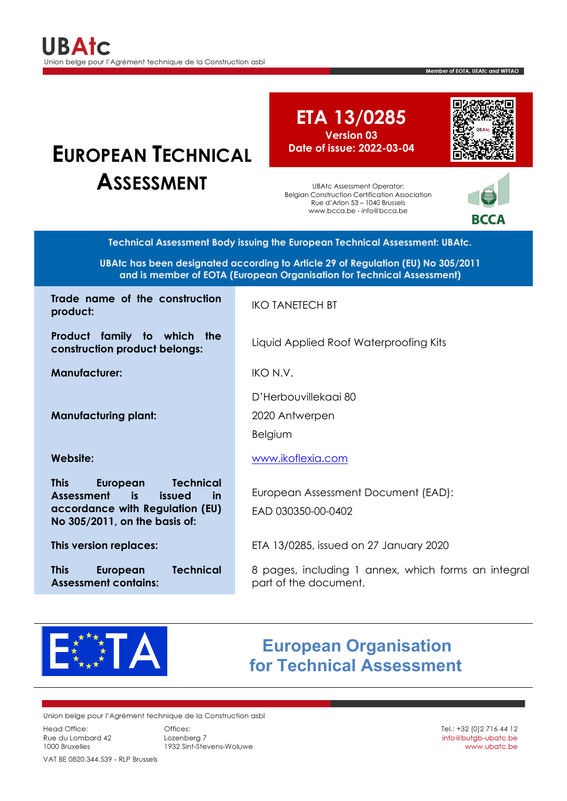# **EUROPEAN TECHNICAL ASSESSMENT**

<span id="page-0-0"></span>**ETA 13/0285 Version 03 Date of issue: 2022-03-04**

UBAtc Assessment Operator: Belgian Construction Certification Association Rue d'Arlon 53 – 1040 Brussels www.bcca.be - info@bcca.be



RCCA

Member of FOTA, UEAtc and WFTAO

**Technical Assessment Body issuing the European Technical Assessment: UBAtc.**

**UBAtc has been designated according to Article 29 of Regulation (EU) No 305/2011 and is member of EOTA (European Organisation for Technical Assessment)**

**Trade name of the construction product: product: product: product: product: product: product: product: product: product: product: product: product: product: product: product: product: product: product: product: p** 

**Product family to which the construction product belongs:** Liquid Applied Roof Waterproofing Kits

**Manufacturer:** IKO N.V.

**Manufacturing plant:**

**This European Technical Assessment is issued in accordance with Regulation (EU) No 305/2011, on the basis of:**

**This European Technical Assessment contains:**

D'Herbouvillekaai 80

2020 Antwerpen

Belgium

**Website:** [www.ikoflexia.com](http://www.ikoflexia.com/)

European Assessment Document (EAD): EAD 030350-00-0402

**This version replaces:** ETA 13/0285, issued on 27 January 2020

8 pages, including 1 annex, which forms an integral part of the document.



## **European Organisation for Technical Assessment**

Union belge pour l'Agrément technique de la Construction asbl

**Head Office:** Rue du Lombard 42 1000 Bruxelles

Offices: Lozenbera 7 1932 Sint-Stevens-Woluwe

VAT BE 0820.344.539 - RLP Brussels

Tel.: +32 (0) 2 716 44 12 info@butgb-ubatc.be www.ubatc.be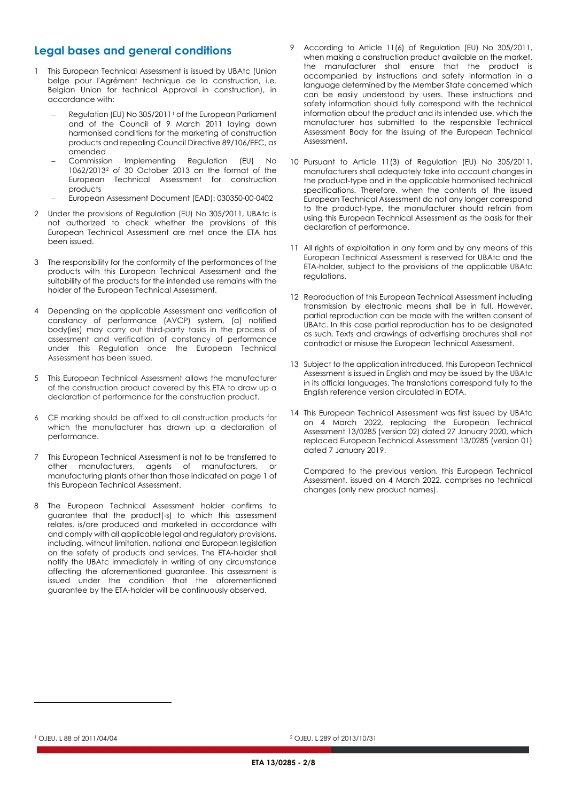## **Legal bases and general conditions**

- 1 This European Technical Assessment is issued by UBAtc (Union belge pour l'Agrément technique de la construction, i.e. Belgian Union for technical Approval in construction), in accordance with:
	- Regulation (EU) No 305/20[1](#page-1-0)1<sup>1</sup> of the European Parliament and of the Council of 9 March 2011 laying down harmonised conditions for the marketing of construction products and repealing Council Directive 89/106/EEC, as amended<br>Commission
	- Implementing Regulation (EU) No 1062/2013[2](#page-1-0) of 30 October 2013 on the format of the European Technical Assessment for construction products
	- − European Assessment Document (EAD): 030350-00-0402
- 2 Under the provisions of Regulation (EU) No 305/2011, UBAtc is not authorized to check whether the provisions of this European Technical Assessment are met once the ETA has been issued.
- 3 The responsibility for the conformity of the performances of the products with this European Technical Assessment and the suitability of the products for the intended use remains with the holder of the European Technical Assessment.
- 4 Depending on the applicable Assessment and verification of constancy of performance (AVCP) system, (a) notified body(ies) may carry out third-party tasks in the process of assessment and verification of constancy of performance under this Regulation once the European Technical Assessment has been issued.
- 5 This European Technical Assessment allows the manufacturer of the construction product covered by this ETA to draw up a declaration of performance for the construction product.
- 6 CE marking should be affixed to all construction products for which the manufacturer has drawn up a declaration of performance.
- 7 This European Technical Assessment is not to be transferred to other manufacturers, agents of manufacturers, or manufacturing plants other than those indicated on page 1 of this European Technical Assessment.
- <span id="page-1-0"></span>8 The European Technical Assessment holder confirms to guarantee that the product(-s) to which this assessment relates, is/are produced and marketed in accordance with and comply with all applicable legal and regulatory provisions, including, without limitation, national and European legislation on the safety of products and services. The ETA-holder shall notify the UBAtc immediately in writing of any circumstance affecting the aforementioned guarantee. This assessment is issued under the condition that the aforementioned guarantee by the ETA-holder will be continuously observed.
- 9 According to Article 11(6) of Regulation (EU) No 305/2011, when making a construction product available on the market, the manufacturer shall ensure that the product is accompanied by instructions and safety information in a language determined by the Member State concerned which can be easily understood by users. These instructions and safety information should fully correspond with the technical information about the product and its intended use, which the manufacturer has submitted to the responsible Technical Assessment Body for the issuing of the European Technical Assessment.
- 10 Pursuant to Article 11(3) of Regulation (EU) No 305/2011, manufacturers shall adequately take into account changes in the product-type and in the applicable harmonised technical specifications. Therefore, when the contents of the issued European Technical Assessment do not any longer correspond to the product-type, the manufacturer should refrain from using this European Technical Assessment as the basis for their declaration of performance.
- 11 All rights of exploitation in any form and by any means of this European Technical Assessment is reserved for UBAtc and the ETA-holder, subject to the provisions of the applicable UBAtc regulations.
- 12 Reproduction of this European Technical Assessment including transmission by electronic means shall be in full. However, partial reproduction can be made with the written consent of UBAtc. In this case partial reproduction has to be designated as such. Texts and drawings of advertising brochures shall not contradict or misuse the European Technical Assessment.
- 13 Subject to the application introduced, this European Technical Assessment is issued in English and may be issued by the UBAtc in its official languages. The translations correspond fully to the English reference version circulated in EOTA.
- 14 This European Technical Assessment was first issued by UBAtc on 4 March 2022, replacing the European Technical Assessment 13/0285 (version 02) dated 27 January 2020, which replaced European Technical Assessment 13/0285 (version 01) dated 7 January 2019.

Compared to the previous version, this European Technical Assessment, issued on 4 March 2022, comprises no technical changes (only new product names).

<sup>2</sup> OJEU, L 289 of 2013/10/31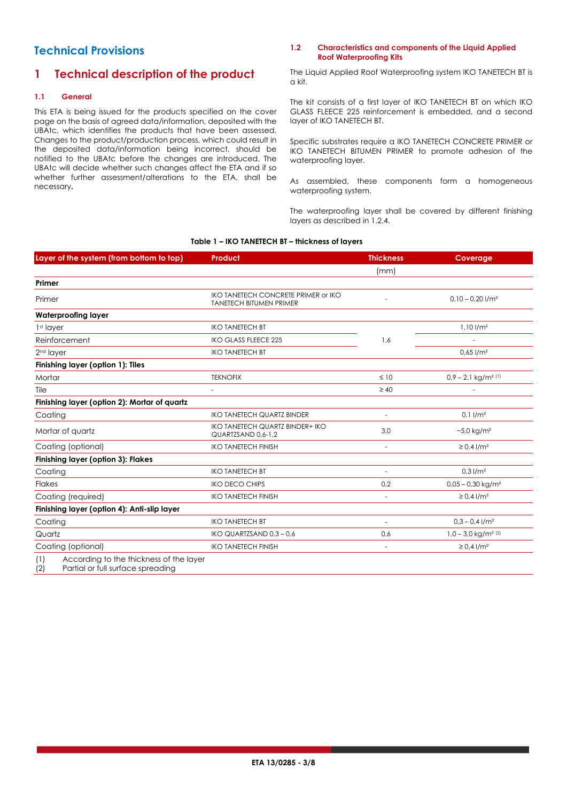## **Technical Provisions**

## **1 Technical description of the product**

#### **1.1 General**

This ETA is being issued for the products specified on the cover page on the basis of agreed data/information, deposited with the UBAtc, which identifies the products that have been assessed. Changes to the product/production process, which could result in the deposited data/information being incorrect, should be notified to the UBAtc before the changes are introduced. The UBAtc will decide whether such changes affect the ETA and if so whether further assessment/alterations to the ETA, shall be necessary**.**

#### **1.2 Characteristics and components of the Liquid Applied Roof Waterproofing Kits**

The Liquid Applied Roof Waterproofing system IKO TANETECH BT is a kit.

The kit consists of a first layer of IKO TANETECH BT on which IKO GLASS FLEECE 225 reinforcement is embedded, and a second layer of IKO TANETECH BT.

Specific substrates require a IKO TANETECH CONCRETE PRIMER or IKO TANETECH BITUMEN PRIMER to promote adhesion of the waterproofing layer.

As assembled, these components form a homogeneous waterproofing system.

The waterproofing layer shall be covered by different finishing layers as described in [1.2.4.](#page-3-0)

#### <span id="page-2-0"></span>**Table 1 – IKO TANETECH BT – thickness of layers**

| Layer of the system (from bottom to top)                                                   | <b>Product</b>                                                        | <b>Thickness</b>         | Coverage                                     |
|--------------------------------------------------------------------------------------------|-----------------------------------------------------------------------|--------------------------|----------------------------------------------|
|                                                                                            |                                                                       | (mm)                     |                                              |
| Primer                                                                                     |                                                                       |                          |                                              |
| Primer                                                                                     | IKO TANETECH CONCRETE PRIMER or IKO<br><b>TANETECH BITUMEN PRIMER</b> |                          | $0.10 - 0.20$ l/m <sup>2</sup>               |
| <b>Waterproofing layer</b>                                                                 |                                                                       |                          |                                              |
| 1st layer                                                                                  | <b>IKO TANETECH BT</b>                                                |                          | $1,10$ $1/m2$                                |
| Reinforcement                                                                              | <b>IKO GLASS FLEECE 225</b>                                           | 1,6                      |                                              |
| 2 <sup>nd</sup> layer                                                                      | <b>IKO TANETECH BT</b>                                                |                          | $0.65$ $1/m2$                                |
| Finishing layer (option 1): Tiles                                                          |                                                                       |                          |                                              |
| Mortar                                                                                     | <b>TEKNOFIX</b>                                                       | $\leq 10$                | $0.9 - 2.1$ kg/m <sup>2 (1)</sup>            |
| Tile                                                                                       |                                                                       | $\geq 40$                |                                              |
| Finishing layer (option 2): Mortar of quartz                                               |                                                                       |                          |                                              |
| Coating                                                                                    | <b>IKO TANETECH QUARTZ BINDER</b>                                     |                          | $0.1$ $1/m2$                                 |
| Mortar of quartz                                                                           | <b>IKO TANETECH QUARTZ BINDER+ IKO</b><br>QUARTZSAND 0.6-1.2          | 3,0                      | $-5.0$ kg/m <sup>2</sup>                     |
| Coating (optional)                                                                         | <b>IKO TANETECH FINISH</b>                                            | $\overline{a}$           | $\geq 0.4$ l/m <sup>2</sup>                  |
| <b>Finishing layer (option 3): Flakes</b>                                                  |                                                                       |                          |                                              |
| Coating                                                                                    | <b>IKO TANETECH BT</b>                                                | $\sim$                   | $0.3$ $1/m2$                                 |
| <b>Flakes</b>                                                                              | <b>IKO DECO CHIPS</b>                                                 | 0,2                      | $0.05 - 0.30$ kg/m <sup>2</sup>              |
| Coating (required)                                                                         | <b>IKO TANETECH FINISH</b>                                            | L,                       | $\geq 0.4$ l/m <sup>2</sup>                  |
| Finishing layer (option 4): Anti-slip layer                                                |                                                                       |                          |                                              |
| Coating                                                                                    | <b>IKO TANETECH BT</b>                                                | $\overline{\phantom{a}}$ | $0.3 - 0.4$ l/m <sup>2</sup>                 |
| Quartz                                                                                     | IKO QUARTZSAND 0,3 - 0,6                                              | 0,6                      | $1,0 - 3,0$ kg/m <sup>2</sup> <sup>(2)</sup> |
| Coating (optional)                                                                         | <b>IKO TANETECH FINISH</b>                                            | $\overline{\phantom{a}}$ | $\geq 0.4$ l/m <sup>2</sup>                  |
| According to the thickness of the layer<br>(1)<br>(2)<br>Partial or full surface spreading |                                                                       |                          |                                              |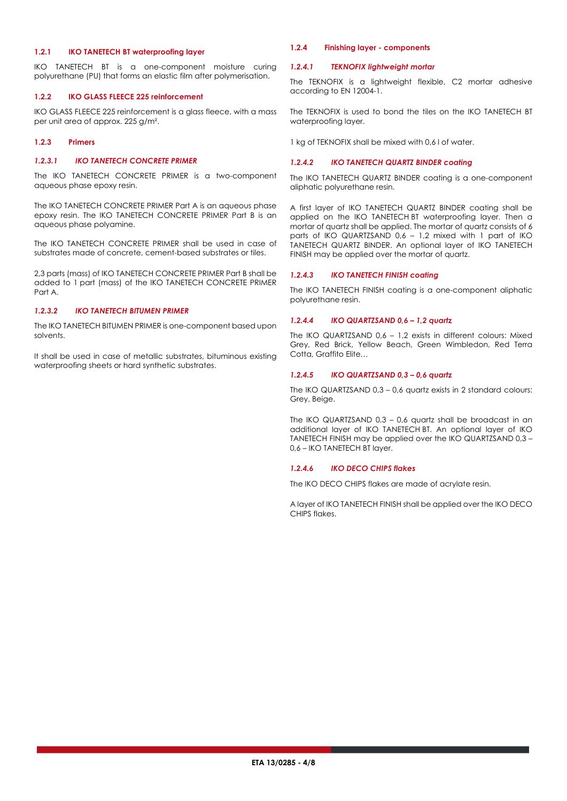#### **1.2.1 IKO TANETECH BT waterproofing layer**

IKO TANETECH BT is a one-component moisture curing polyurethane (PU) that forms an elastic film after polymerisation.

#### **1.2.2 IKO GLASS FLEECE 225 reinforcement**

IKO GLASS FLEECE 225 reinforcement is a glass fleece, with a mass per unit area of approx. 225 g/m².

#### **1.2.3 Primers**

#### *1.2.3.1 IKO TANETECH CONCRETE PRIMER*

The IKO TANETECH CONCRETE PRIMER is a two-component aqueous phase epoxy resin.

The IKO TANETECH CONCRETE PRIMER Part A is an aqueous phase epoxy resin. The IKO TANETECH CONCRETE PRIMER Part B is an aqueous phase polyamine.

The IKO TANETECH CONCRETE PRIMER shall be used in case of substrates made of concrete, cement-based substrates or tiles.

2,3 parts (mass) of IKO TANETECH CONCRETE PRIMER Part B shall be added to 1 part (mass) of the IKO TANETECH CONCRETE PRIMER Part A.

#### *1.2.3.2 IKO TANETECH BITUMEN PRIMER*

The IKO TANETECH BITUMEN PRIMER is one-component based upon solvents.

<span id="page-3-0"></span>It shall be used in case of metallic substrates, bituminous existing waterproofing sheets or hard synthetic substrates.

#### **1.2.4 Finishing layer - components**

#### *1.2.4.1 TEKNOFIX lightweight mortar*

The TEKNOFIX is a lightweight flexible, C2 mortar adhesive according to EN 12004-1.

The TEKNOFIX is used to bond the tiles on the IKO TANETECH BT waterproofing layer.

1 kg of TEKNOFIX shall be mixed with 0,6 l of water.

#### *1.2.4.2 IKO TANETECH QUARTZ BINDER coating*

The IKO TANETECH QUARTZ BINDER coating is a one-component aliphatic polyurethane resin.

A first layer of IKO TANETECH QUARTZ BINDER coating shall be applied on the IKO TANETECH BT waterproofing layer. Then a mortar of quartz shall be applied. The mortar of quartz consists of 6 parts of IKO QUARTZSAND 0,6 – 1,2 mixed with 1 part of IKO TANETECH QUARTZ BINDER. An optional layer of IKO TANETECH FINISH may be applied over the mortar of quartz.

#### *1.2.4.3 IKO TANETECH FINISH coating*

The IKO TANETECH FINISH coating is a one-component aliphatic polyurethane resin.

#### *1.2.4.4 IKO QUARTZSAND 0,6 – 1,2 quartz*

The IKO QUARTZSAND 0,6 – 1,2 exists in different colours: Mixed Grey, Red Brick, Yellow Beach, Green Wimbledon, Red Terra Cotta, Graffito Elite…

#### *1.2.4.5 IKO QUARTZSAND 0,3 – 0,6 quartz*

The IKO QUARTZSAND 0,3 – 0,6 quartz exists in 2 standard colours: Grey, Beige.

The IKO QUARTZSAND 0,3 – 0,6 quartz shall be broadcast in an additional layer of IKO TANETECH BT. An optional layer of IKO TANETECH FINISH may be applied over the IKO QUARTZSAND 0,3 – 0,6 – IKO TANETECH BT layer.

#### *1.2.4.6 IKO DECO CHIPS flakes*

The IKO DECO CHIPS flakes are made of acrylate resin.

A layer of IKO TANETECH FINISH shall be applied over the IKO DECO CHIPS flakes.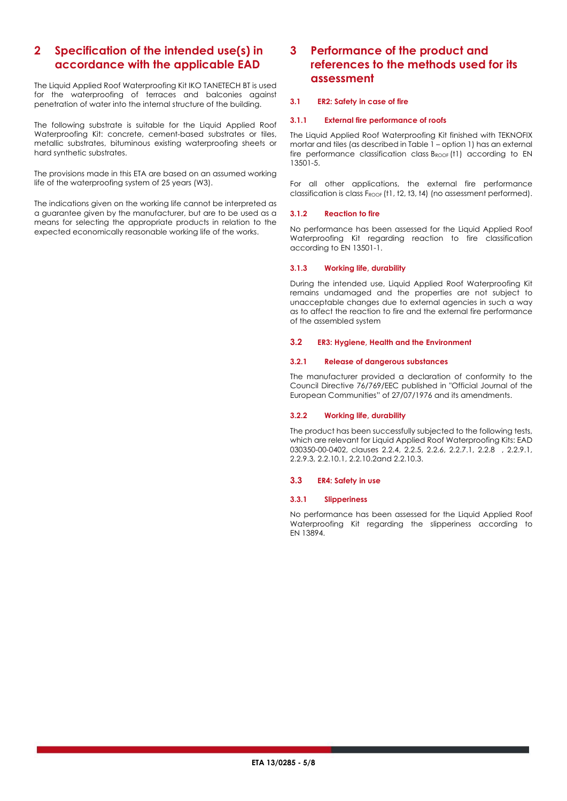## **2 Specification of the intended use(s) in accordance with the applicable EAD**

The Liquid Applied Roof Waterproofing Kit IKO TANETECH BT is used for the waterproofing of terraces and balconies against penetration of water into the internal structure of the building.

The following substrate is suitable for the Liquid Applied Roof Waterproofing Kit: concrete, cement-based substrates or tiles, metallic substrates, bituminous existing waterproofing sheets or hard synthetic substrates.

The provisions made in this ETA are based on an assumed working life of the waterproofing system of 25 years (W3).

The indications given on the working life cannot be interpreted as a guarantee given by the manufacturer, but are to be used as a means for selecting the appropriate products in relation to the expected economically reasonable working life of the works.

## **3 Performance of the product and references to the methods used for its assessment**

#### **3.1 ER2: Safety in case of fire**

#### **3.1.1 External fire performance of roofs**

The Liquid Applied Roof Waterproofing Kit finished with TEKNOFIX mortar and tiles (as described i[n Table 1](#page-2-0) – option 1) has an external fire performance classification class  $B_{ROOF}$  (t1) according to EN 13501-5.

For all other applications, the external fire performance classification is class F<sub>ROOF</sub> (t1, t2, t3, t4) (no assessment performed).

#### **3.1.2 Reaction to fire**

No performance has been assessed for the Liquid Applied Roof Waterproofing Kit regarding reaction to fire classification according to EN 13501-1.

#### **3.1.3 Working life, durability**

During the intended use, Liquid Applied Roof Waterproofing Kit remains undamaged and the properties are not subject to unacceptable changes due to external agencies in such a way as to affect the reaction to fire and the external fire performance of the assembled system

#### **3.2 ER3: Hygiene, Health and the Environment**

#### **3.2.1 Release of dangerous substances**

The manufacturer provided a declaration of conformity to the Council Directive 76/769/EEC published in "Official Journal of the European Communities" of 27/07/1976 and its amendments.

#### **3.2.2 Working life, durability**

The product has been successfully subjected to the following tests, which are relevant for Liquid Applied Roof Waterproofing Kits: EAD 030350-00-0402, clauses 2.2.4, 2.2.5, 2.2.6, 2.2.7.1, 2.2.8 , 2.2.9.1, 2.2.9.3, 2.2.10.1, 2.2.10.2and 2.2.10.3.

#### **3.3 ER4: Safety in use**

#### **3.3.1 Slipperiness**

No performance has been assessed for the Liquid Applied Roof Waterproofing Kit regarding the slipperiness according to EN 13894.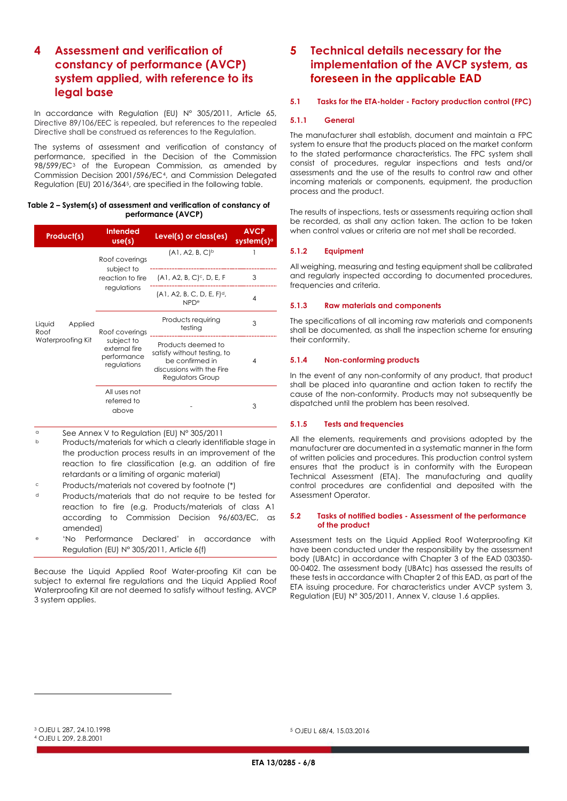## **4 Assessment and verification of constancy of performance (AVCP) system applied, with reference to its legal base**

In accordance with Regulation (EU) N° 305/2011, Article 65, Directive 89/106/EEC is repealed, but references to the repealed Directive shall be construed as references to the Regulation.

The systems of assessment and verification of constancy of performance, specified in the Decision of the Commission 98/599/EC[3](#page-5-0) of the European Commission, as amended by Commission Decision 2001/596/EC[4,](#page-5-1) and Commission Delegated Regulation (EU) 2016/364[5](#page-5-0), are specified in the following table.

#### **Table 2 – System(s) of assessment and verification of constancy of performance (AVCP)**

| Product(s)                                     | <b>Intended</b><br>use(s)                                                   | Level(s) or class(es)                                                                                                 | <b>AVCP</b><br>system(s) <sup>a</sup> |
|------------------------------------------------|-----------------------------------------------------------------------------|-----------------------------------------------------------------------------------------------------------------------|---------------------------------------|
| Liquid<br>Applied<br>Roof<br>Waterproofing Kit | Roof coverings<br>subject to<br>reaction to fire<br>regulations             | (A1, A2, B, C) <sup>b</sup>                                                                                           |                                       |
|                                                |                                                                             | $(A1, A2, B, C)$ <sup>c</sup> , D, E, F                                                                               | 3                                     |
|                                                |                                                                             | $(A1, A2, B, C, D, E, F)d$ ,<br>NPDe                                                                                  | 4                                     |
|                                                | Roof coverings<br>subject to<br>external fire<br>performance<br>regulations | Products requiring<br>testing                                                                                         | 3                                     |
|                                                |                                                                             | Products deemed to<br>satisfy without testing, to<br>be confirmed in<br>discussions with the Fire<br>Regulators Group | 4                                     |
|                                                | All uses not<br>referred to<br>above                                        |                                                                                                                       | 3                                     |

<sup>a</sup> See Annex V to Regulation (EU) N° 305/2011

<sup>b</sup> Products/materials for which a clearly identifiable stage in the production process results in an improvement of the reaction to fire classification (e.g. an addition of fire retardants or a limiting of organic material)

- <sup>c</sup> Products/materials not covered by footnote (\*)
- <sup>d</sup> Products/materials that do not require to be tested for reaction to fire (e.g. Products/materials of class A1 according to Commission Decision 96/603/EC, as amended)
- 'No Performance Declared' in accordance with Regulation (EU) N° 305/2011, Article 6(f)

Because the Liquid Applied Roof Water-proofing Kit can be subject to external fire regulations and the Liquid Applied Roof Waterproofing Kit are not deemed to satisfy without testing, AVCP 3 system applies.

## **5 Technical details necessary for the implementation of the AVCP system, as foreseen in the applicable EAD**

#### **5.1 Tasks for the ETA-holder - Factory production control (FPC)**

#### **5.1.1 General**

The manufacturer shall establish, document and maintain a FPC system to ensure that the products placed on the market conform to the stated performance characteristics. The FPC system shall consist of procedures, regular inspections and tests and/or assessments and the use of the results to control raw and other incoming materials or components, equipment, the production process and the product.

The results of inspections, tests or assessments requiring action shall be recorded, as shall any action taken. The action to be taken when control values or criteria are not met shall be recorded.

#### **5.1.2 Equipment**

All weighing, measuring and testing equipment shall be calibrated and regularly inspected according to documented procedures, frequencies and criteria.

#### **5.1.3 Raw materials and components**

The specifications of all incoming raw materials and components shall be documented, as shall the inspection scheme for ensuring their conformity.

#### **5.1.4 Non-conforming products**

In the event of any non-conformity of any product, that product shall be placed into quarantine and action taken to rectify the cause of the non-conformity. Products may not subsequently be dispatched until the problem has been resolved.

#### **5.1.5 Tests and frequencies**

All the elements, requirements and provisions adopted by the manufacturer are documented in a systematic manner in the form of written policies and procedures. This production control system ensures that the product is in conformity with the European Technical Assessment (ETA). The manufacturing and quality control procedures are confidential and deposited with the Assessment Operator.

#### **5.2 Tasks of notified bodies - Assessment of the performance of the product**

Assessment tests on the Liquid Applied Roof Waterproofing Kit have been conducted under the responsibility by the assessment body (UBAtc) in accordance with Chapter 3 of the EAD 030350- 00-0402. The assessment body (UBAtc) has assessed the results of these tests in accordance with Chapter 2 of this EAD, as part of the ETA issuing procedure. For characteristics under AVCP system 3, Regulation (EU) N° 305/2011, Annex V, clause 1.6 applies.

<sup>5</sup> OJEU L 68/4, 15.03.2016

<span id="page-5-1"></span><span id="page-5-0"></span><sup>3</sup> OJEU L 287, 24.10.1998 <sup>4</sup> OJEU L 209, 2.8.2001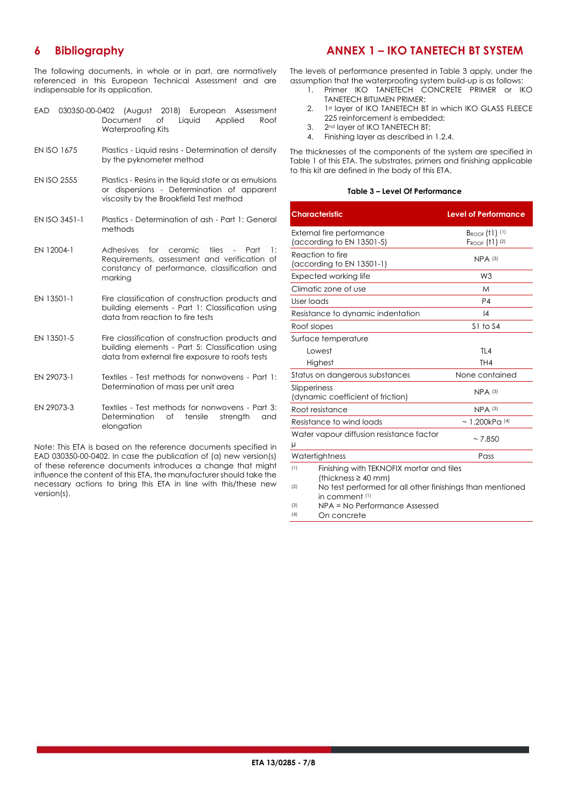## **6 Bibliography**

The following documents, in whole or in part, are normatively referenced in this European Technical Assessment and are indispensable for its application.

## **ANNEX 1 – IKO TANETECH BT SYSTEM**

The levels of performance presented in [Table 3](#page-6-0) apply, under the assumption that the waterproofing system build-up is as follows:

- 1. Primer IKO TANETECH CONCRETE PRIMER or IKO TANETECH BITUMEN PRIMER;
- 2. 1st layer of IKO TANETECH BT in which IKO GLASS FLEECE 225 reinforcement is embedded;
- 3. 2nd layer of IKO TANETECH BT;
- 4. Finishing layer as described i[n 1.2.4.](#page-3-0)

The thicknesses of the components of the system are specified in [Table 1](#page-2-0) of this ETA. The substrates, primers and finishing applicable to this kit are defined in the body of this ETA.

#### <span id="page-6-0"></span>**Table 3 – Level Of Performance**

| <b>Characteristic</b>                                                                                                                           |  | <b>Level of Performance</b>                  |  |
|-------------------------------------------------------------------------------------------------------------------------------------------------|--|----------------------------------------------|--|
| External fire performance<br>(according to EN 13501-5)                                                                                          |  | $B_{ROOF}$ (†1) $(1)$<br>$F_{ROOF}$ (†1) (2) |  |
| Reaction to fire<br>(according to EN 13501-1)                                                                                                   |  | $NPA$ (3)                                    |  |
| Expected working life                                                                                                                           |  | W <sub>3</sub>                               |  |
| Climatic zone of use                                                                                                                            |  | M                                            |  |
| User loads                                                                                                                                      |  | P <sub>4</sub>                               |  |
| Resistance to dynamic indentation                                                                                                               |  | 4                                            |  |
| Roof slopes                                                                                                                                     |  | $S1$ to $S4$                                 |  |
| Surface temperature                                                                                                                             |  |                                              |  |
| Lowest                                                                                                                                          |  | TL <sub>4</sub>                              |  |
| Highest                                                                                                                                         |  | TH4                                          |  |
| Status on dangerous substances                                                                                                                  |  | None contained                               |  |
| Slipperiness<br>(dynamic coefficient of friction)                                                                                               |  | $NPA$ (3)                                    |  |
| Root resistance                                                                                                                                 |  | $NPA$ (3)                                    |  |
| Resistance to wind loads                                                                                                                        |  | $\sim$ 1.200kPa (4)                          |  |
| Water vapour diffusion resistance factor<br>μ                                                                                                   |  | ~27.850                                      |  |
| Watertightness                                                                                                                                  |  | Pass                                         |  |
| (1)<br>Finishing with TEKNOFIX mortar and tiles<br>(thickness $\geq$ 40 mm)<br>No test performed for all other finishings than mentioned<br>(2) |  |                                              |  |
| in comment <sup>(1)</sup>                                                                                                                       |  |                                              |  |

(3) NPA = No Performance Assessed

(4) On concrete

- EAD 030350-00-0402 (August 2018) European Assessment Document of Liquid Applied Roof Waterproofing Kits
- EN ISO 1675 Plastics Liquid resins Determination of density by the pyknometer method
- EN ISO 2555 Plastics Resins in the liquid state or as emulsions or dispersions - Determination of apparent viscosity by the Brookfield Test method
- EN ISO 3451-1 Plastics Determination of ash Part 1: General methods
- EN 12004-1 Adhesives for ceramic tiles Part 1: Requirements, assessment and verification of constancy of performance, classification and marking
- EN 13501-1 Fire classification of construction products and building elements - Part 1: Classification using data from reaction to fire tests
- EN 13501-5 Fire classification of construction products and building elements - Part 5: Classification using data from external fire exposure to roofs tests
- EN 29073-1 Textiles Test methods for nonwovens Part 1: Determination of mass per unit area
- EN 29073-3 Textiles Test methods for nonwovens Part 3: Determination of tensile strength and elongation

Note: This ETA is based on the reference documents specified in EAD 030350-00-0402. In case the publication of (a) new version(s) of these reference documents introduces a change that might influence the content of this ETA, the manufacturer should take the necessary actions to bring this ETA in line with this/these new version(s).